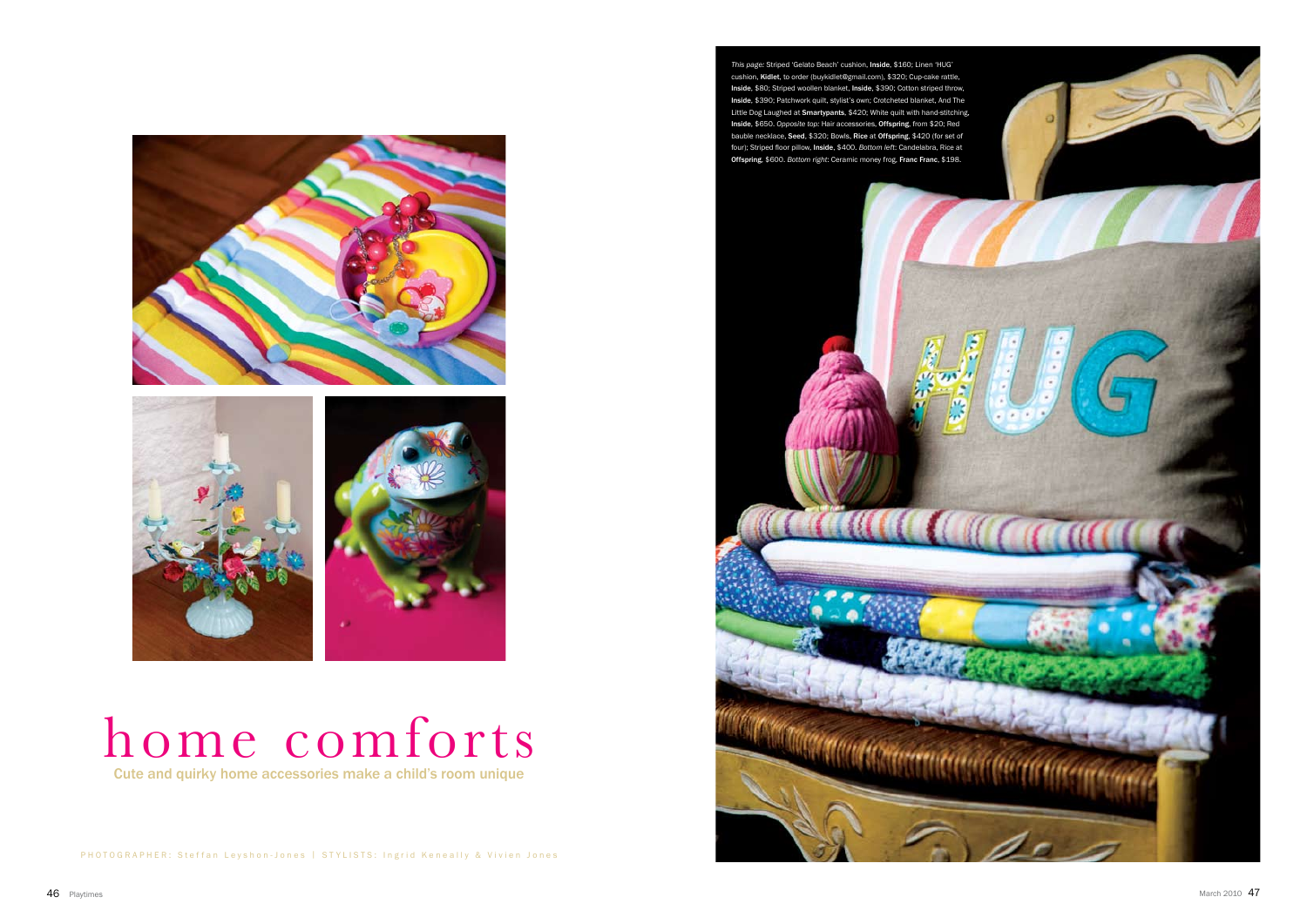## home comforts Cute and quirky home accessories make a child's room unique

PHOTOGRAPHER: Steffan Leyshon-Jones | STYLISTS: Ingrid Keneally & Vivien Jones

*This page:* Striped 'Gelato Beach' cushion, Inside, \$160; Linen 'HUG' cushion, Kidlet, to order (buykidlet@gmail.com), \$320; Cup-cake rattle, Inside, \$80; Striped woollen blanket, Inside, \$390; Cotton striped throw, Inside, \$390; Patchwork quilt, stylist's own; Crotcheted blanket, And The Little Dog Laughed at Smartypants, \$420; White quilt with hand-stitching, Inside, \$650. *Opposite top:* Hair accessories, Offspring, from \$20; Red bauble necklace, Seed, \$320; Bowls, Rice at Offspring, \$420 (for set of four); Striped floor pillow, Inside, \$400. *Bottom left*: Candelabra, Rice at Offspring, \$600. *Bottom right*: Ceramic money frog, Franc Franc, \$198.





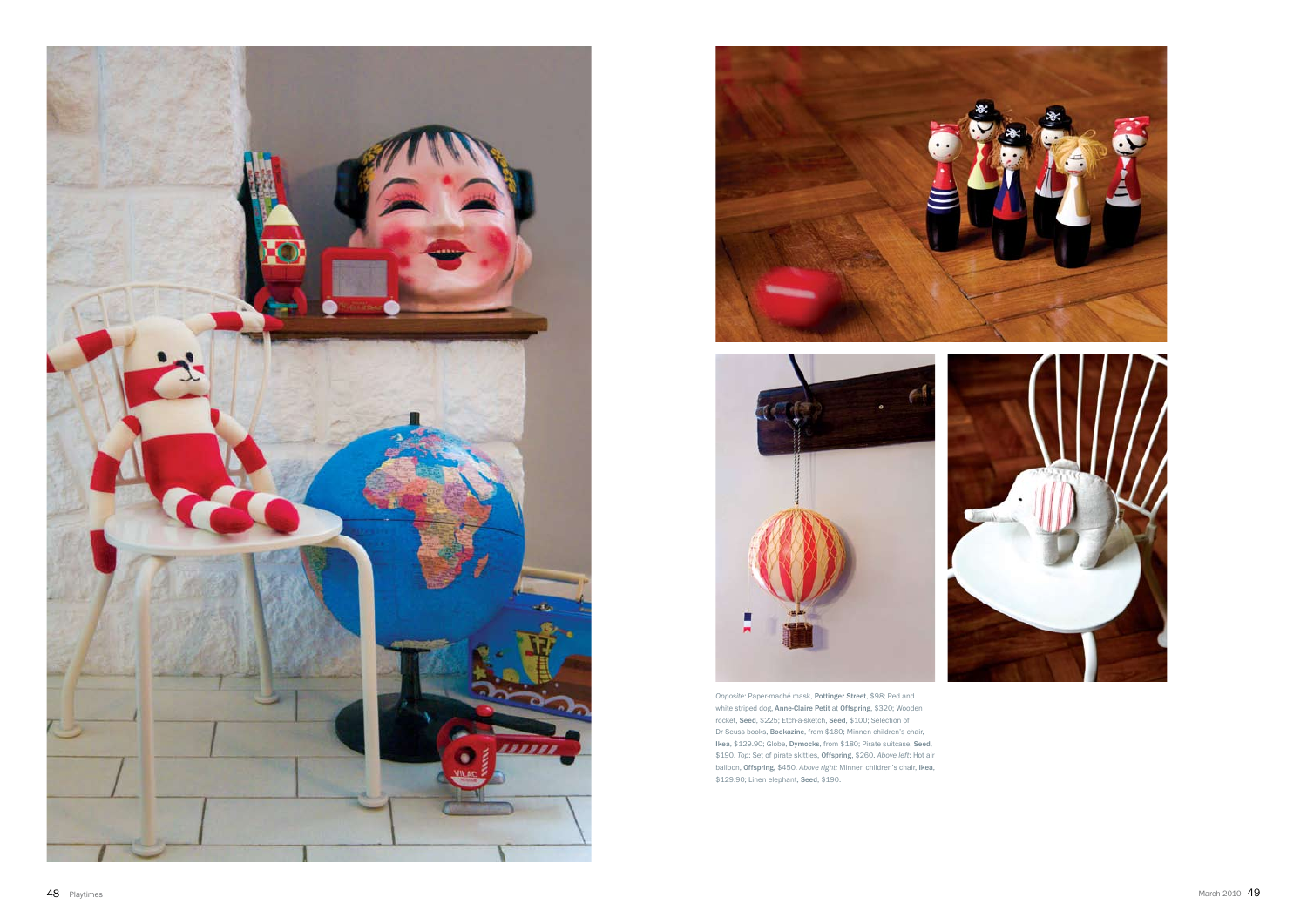





*Opposite*: Paper-maché mask, Pottinger Street, \$98; Red and white striped dog, Anne-Claire Petit at Offspring, \$320; Wooden rocket, Seed, \$225; Etch-a-sketch, Seed, \$100; Selection of Dr Seuss books, Bookazine, from \$180; Minnen children's chair, Ikea, \$129.90; Globe, Dymocks, from \$180; Pirate suitcase, Seed, \$190. *Top*: Set of pirate skittles, Offspring, \$260. *Above left*: Hot air balloon, Offspring, \$450. *Above right:* Minnen children's chair, Ikea, \$129.90; Linen elephant, Seed, \$190.